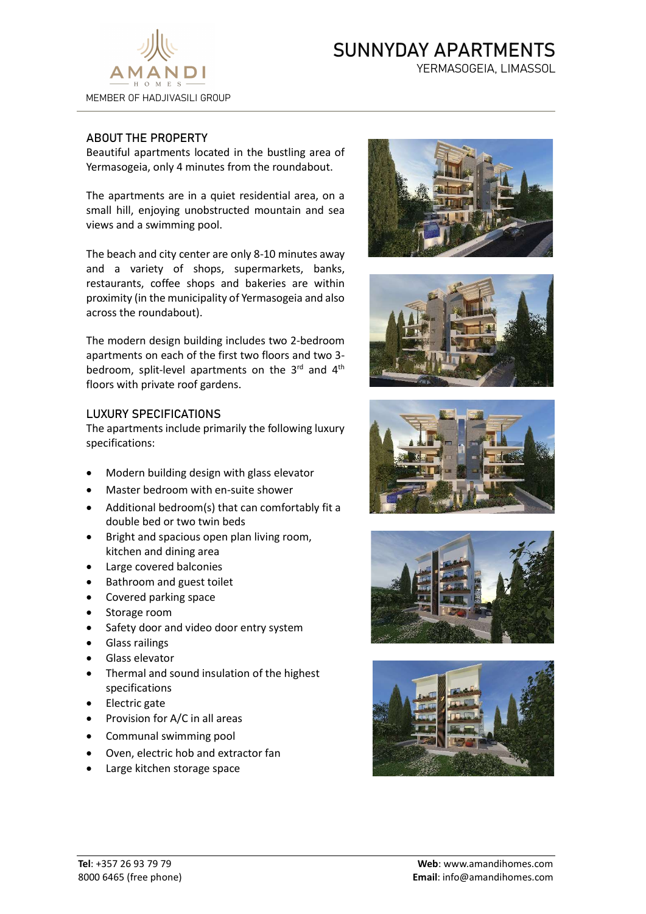

## SUNNYDAY APARTMENTS

YERMASOGEIA, LIMASSOL

## ABOUT THE PROPERTY

Beautiful apartments located in the bustling area of Yermasogeia, only 4 minutes from the roundabout.

The apartments are in a quiet residential area, on a small hill, enjoying unobstructed mountain and sea views and a swimming pool.

The beach and city center are only 8-10 minutes away and a variety of shops, supermarkets, banks, restaurants, coffee shops and bakeries are within proximity (in the municipality of Yermasogeia and also across the roundabout).

The modern design building includes two 2-bedroom apartments on each of the first two floors and two 3 bedroom, split-level apartments on the  $3^{rd}$  and  $4^{th}$ floors with private roof gardens.

## LUXURY SPECIFICATIONS

The apartments include primarily the following luxury specifications:

- Modern building design with glass elevator
- Master bedroom with en-suite shower
- Additional bedroom(s) that can comfortably fit a double bed or two twin beds
- Bright and spacious open plan living room, kitchen and dining area
- Large covered balconies
- Bathroom and guest toilet
- Covered parking space
- Storage room
- Safety door and video door entry system
- Glass railings
- Glass elevator
- Thermal and sound insulation of the highest specifications
- Electric gate
- Provision for A/C in all areas
- Communal swimming pool
- Οven, electric hob and extractor fan
- Large kitchen storage space